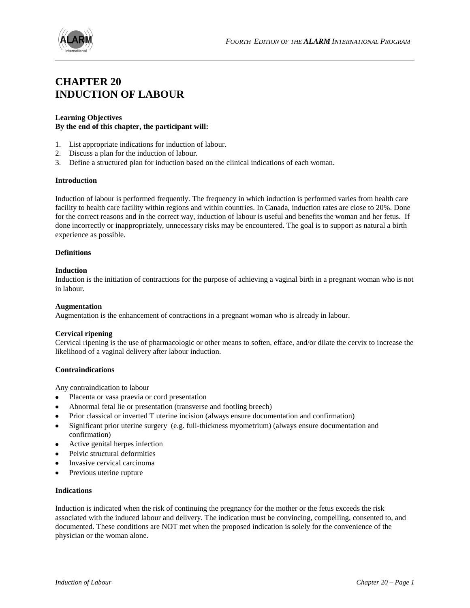

## **CHAPTER 20 INDUCTION OF LABOUR**

## **Learning Objectives By the end of this chapter, the participant will:**

- 1. List appropriate indications for induction of labour.
- 2. Discuss a plan for the induction of labour.
- 3. Define a structured plan for induction based on the clinical indications of each woman.

#### **Introduction**

Induction of labour is performed frequently. The frequency in which induction is performed varies from health care facility to health care facility within regions and within countries. In Canada, induction rates are close to 20%. Done for the correct reasons and in the correct way, induction of labour is useful and benefits the woman and her fetus. If done incorrectly or inappropriately, unnecessary risks may be encountered. The goal is to support as natural a birth experience as possible.

## **Definitions**

## **Induction**

Induction is the initiation of contractions for the purpose of achieving a vaginal birth in a pregnant woman who is not in labour.

#### **Augmentation**

Augmentation is the enhancement of contractions in a pregnant woman who is already in labour.

## **Cervical ripening**

Cervical ripening is the use of pharmacologic or other means to soften, efface, and/or dilate the cervix to increase the likelihood of a vaginal delivery after labour induction.

### **Contraindications**

Any contraindication to labour

- Placenta or vasa praevia or cord presentation
- Abnormal fetal lie or presentation (transverse and footling breech)
- Prior classical or inverted T uterine incision (always ensure documentation and confirmation)  $\bullet$
- Significant prior uterine surgery (e.g. full-thickness myometrium) (always ensure documentation and  $\bullet$ confirmation)
- Active genital herpes infection
- Pelvic structural deformities
- Invasive cervical carcinoma
- Previous uterine rupture  $\bullet$

## **Indications**

Induction is indicated when the risk of continuing the pregnancy for the mother or the fetus exceeds the risk associated with the induced labour and delivery. The indication must be convincing, compelling, consented to, and documented. These conditions are NOT met when the proposed indication is solely for the convenience of the physician or the woman alone.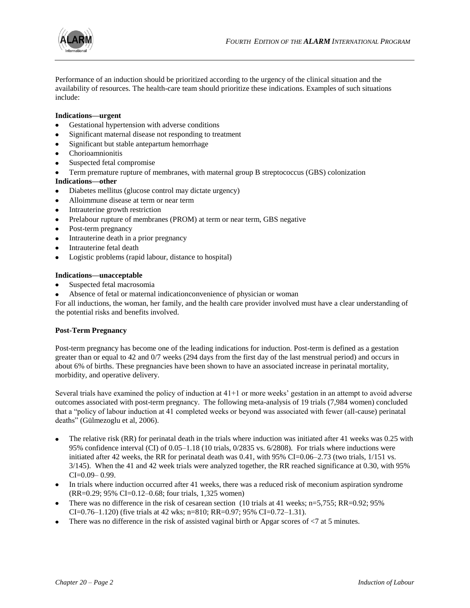

Performance of an induction should be prioritized according to the urgency of the clinical situation and the availability of resources. The health-care team should prioritize these indications. Examples of such situations include:

## **Indications—urgent**

- Gestational hypertension with adverse conditions
- Significant maternal disease not responding to treatment
- Significant but stable antepartum hemorrhage
- Chorioamnionitis
- Suspected fetal compromise  $\bullet$
- Term premature rupture of membranes, with maternal group B streptococcus (GBS) colonization

## **Indications—other**

- Diabetes mellitus (glucose control may dictate urgency)  $\bullet$
- Alloimmune disease at term or near term
- Intrauterine growth restriction
- Prelabour rupture of membranes (PROM) at term or near term, GBS negative
- Post-term pregnancy
- Intrauterine death in a prior pregnancy  $\bullet$
- $\bullet$ Intrauterine fetal death
- Logistic problems (rapid labour, distance to hospital)

#### **Indications—unacceptable**

- $\bullet$ Suspected fetal macrosomia
- Absence of fetal or maternal indicationconvenience of physician or woman  $\bullet$

For all inductions, the woman, her family, and the health care provider involved must have a clear understanding of the potential risks and benefits involved.

#### **Post-Term Pregnancy**

Post-term pregnancy has become one of the leading indications for induction. Post-term is defined as a gestation greater than or equal to 42 and 0/7 weeks (294 days from the first day of the last menstrual period) and occurs in about 6% of births. These pregnancies have been shown to have an associated increase in perinatal mortality, morbidity, and operative delivery.

Several trials have examined the policy of induction at 41+1 or more weeks' gestation in an attempt to avoid adverse outcomes associated with post-term pregnancy. The following meta-analysis of 19 trials (7,984 women) concluded that a "policy of labour induction at 41 completed weeks or beyond was associated with fewer (all-cause) perinatal deaths" (Gülmezoglu et al, 2006).

- The relative risk (RR) for perinatal death in the trials where induction was initiated after 41 weeks was 0.25 with 95% confidence interval (CI) of 0.05–1.18 (10 trials, 0/2835 vs. 6/2808). For trials where inductions were initiated after 42 weeks, the RR for perinatal death was  $0.41$ , with 95% CI=0.06–2.73 (two trials,  $1/151$  vs. 3/145). When the 41 and 42 week trials were analyzed together, the RR reached significance at 0.30, with 95%  $CI = 0.09 - 0.99$ .
- In trials where induction occurred after 41 weeks, there was a reduced risk of meconium aspiration syndrome (RR=0.29; 95% CI=0.12–0.68; four trials, 1,325 women)
- There was no difference in the risk of cesarean section (10 trials at 41 weeks; n=5,755; RR=0.92; 95%  $\bullet$ CI=0.76–1.120) (five trials at 42 wks; n=810; RR=0.97; 95% CI=0.72–1.31).
- There was no difference in the risk of assisted vaginal birth or Apgar scores of <7 at 5 minutes.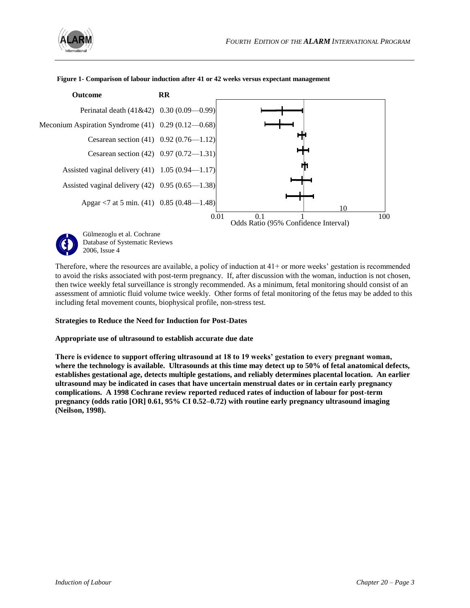



**Figure 1- Comparison of labour induction after 41 or 42 weeks versus expectant management**

Therefore, where the resources are available, a policy of induction at 41+ or more weeks' gestation is recommended to avoid the risks associated with post-term pregnancy. If, after discussion with the woman, induction is not chosen, then twice weekly fetal surveillance is strongly recommended. As a minimum, fetal monitoring should consist of an assessment of amniotic fluid volume twice weekly. Other forms of fetal monitoring of the fetus may be added to this including fetal movement counts, biophysical profile, non-stress test.

#### **Strategies to Reduce the Need for Induction for Post-Dates**

2006, Issue 4

#### **Appropriate use of ultrasound to establish accurate due date**

**There is evidence to support offering ultrasound at 18 to 19 weeks' gestation to every pregnant woman, where the technology is available. Ultrasounds at this time may detect up to 50% of fetal anatomical defects, establishes gestational age, detects multiple gestations, and reliably determines placental location. An earlier ultrasound may be indicated in cases that have uncertain menstrual dates or in certain early pregnancy complications. A 1998 Cochrane review reported reduced rates of induction of labour for post-term pregnancy (odds ratio [OR] 0.61, 95% CI 0.52–0.72) with routine early pregnancy ultrasound imaging (Neilson, 1998).**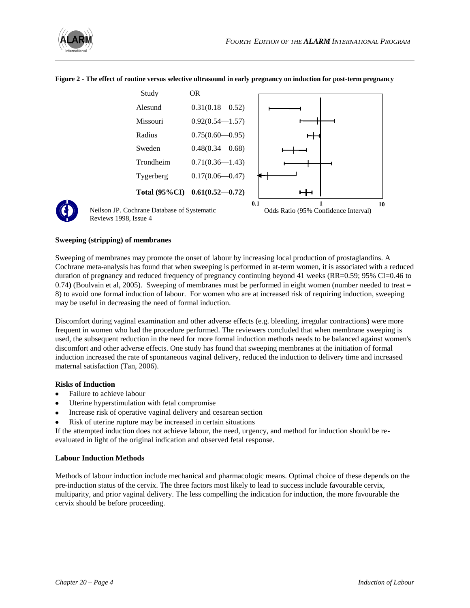



#### **Figure 2 - The effect of routine versus selective ultrasound in early pregnancy on induction for post-term pregnancy**



Neilson JP. Cochrane Database of Systematic Reviews 1998, Issue 4



## **Sweeping (stripping) of membranes**

Sweeping of membranes may promote the onset of labour by increasing local production of prostaglandins. A Cochrane meta-analysis has found that when sweeping is performed in at-term women, it is associated with a reduced duration of pregnancy and reduced frequency of pregnancy continuing beyond 41 weeks (RR=0.59; 95% CI=0.46 to 0.74) (Boulvain et al, 2005). Sweeping of membranes must be performed in eight women (number needed to treat = 8) to avoid one formal induction of labour. For women who are at increased risk of requiring induction, sweeping may be useful in decreasing the need of formal induction.

Discomfort during vaginal examination and other adverse effects (e.g. bleeding, irregular contractions) were more frequent in women who had the procedure performed. The reviewers concluded that when membrane sweeping is used, the subsequent reduction in the need for more formal induction methods needs to be balanced against women's discomfort and other adverse effects. One study has found that sweeping membranes at the initiation of formal induction increased the rate of spontaneous vaginal delivery, reduced the induction to delivery time and increased maternal satisfaction (Tan, 2006).

#### **Risks of Induction**

- Failure to achieve labour
- Uterine hyperstimulation with fetal compromise
- Increase risk of operative vaginal delivery and cesarean section
- Risk of uterine rupture may be increased in certain situations

If the attempted induction does not achieve labour, the need, urgency, and method for induction should be reevaluated in light of the original indication and observed fetal response.

#### **Labour Induction Methods**

Methods of labour induction include mechanical and pharmacologic means. Optimal choice of these depends on the pre-induction status of the cervix. The three factors most likely to lead to success include favourable cervix, multiparity, and prior vaginal delivery. The less compelling the indication for induction, the more favourable the cervix should be before proceeding.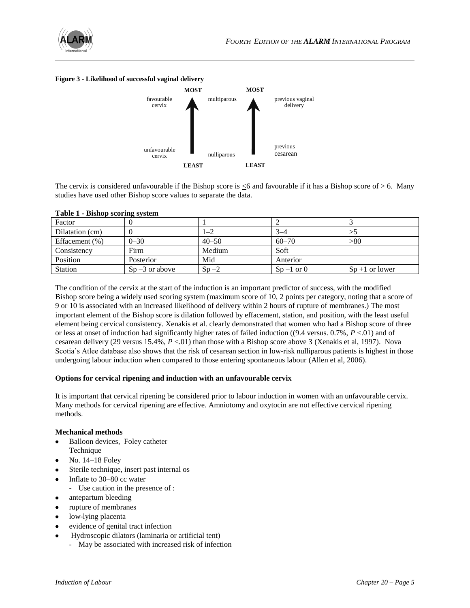

#### **Figure 3 - Likelihood of successful vaginal delivery**



The cervix is considered unfavourable if the Bishop score is  $\leq 6$  and favourable if it has a Bishop score of  $> 6$ . Many studies have used other Bishop score values to separate the data.

| Factor          | - -               |           |               |                   |
|-----------------|-------------------|-----------|---------------|-------------------|
| Dilatation (cm) |                   | $1 - 2$   | $3 - 4$       |                   |
| Effacement (%)  | $0 - 30$          | $40 - 50$ | $60 - 70$     | > 80              |
| Consistency     | Firm              | Medium    | Soft          |                   |
| Position        | Posterior         | Mid       | Anterior      |                   |
| <b>Station</b>  | $Sp - 3$ or above | $Sn-2$    | $Sp-1$ or $0$ | $Sp + 1$ or lower |

## **Table 1 - Bishop scoring system**

The condition of the cervix at the start of the induction is an important predictor of success, with the modified Bishop score being a widely used scoring system (maximum score of 10, 2 points per category, noting that a score of 9 or 10 is associated with an increased likelihood of delivery within 2 hours of rupture of membranes.) The most important element of the Bishop score is dilation followed by effacement, station, and position, with the least useful element being cervical consistency. Xenakis et al. clearly demonstrated that women who had a Bishop score of three or less at onset of induction had significantly higher rates of failed induction ((9.4 versus. 0.7%, *P* <.01) and of cesarean delivery (29 versus 15.4%, *P* <.01) than those with a Bishop score above 3 (Xenakis et al, 1997). Nova Scotia's Atlee database also shows that the risk of cesarean section in low-risk nulliparous patients is highest in those undergoing labour induction when compared to those entering spontaneous labour (Allen et al, 2006).

## **Options for cervical ripening and induction with an unfavourable cervix**

It is important that cervical ripening be considered prior to labour induction in women with an unfavourable cervix. Many methods for cervical ripening are effective. Amniotomy and oxytocin are not effective cervical ripening methods.

#### **Mechanical methods**

- Balloon devices, Foley catheter Technique
- No. 14–18 Foley
- Sterile technique, insert past internal os
- Inflate to 30–80 cc water  $\bullet$ 
	- Use caution in the presence of :
- antepartum bleeding  $\bullet$
- rupture of membranes  $\bullet$
- low-lying placenta
- evidence of genital tract infection  $\bullet$
- $\bullet$ Hydroscopic dilators (laminaria or artificial tent)
	- May be associated with increased risk of infection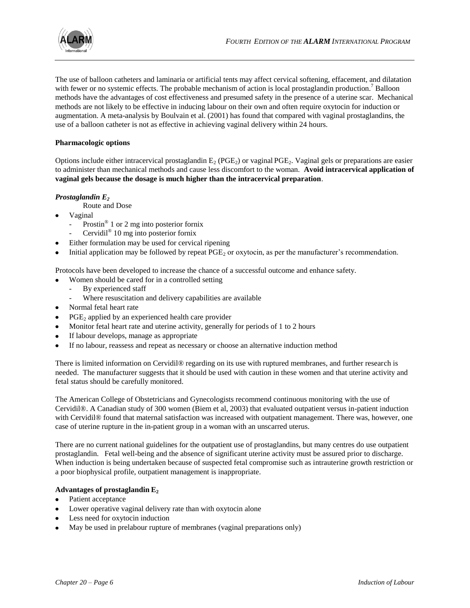

The use of balloon catheters and laminaria or artificial tents may affect cervical softening, effacement, and dilatation with fewer or no systemic effects. The probable mechanism of action is local prostaglandin production.<sup>7</sup> Balloon methods have the advantages of cost effectiveness and presumed safety in the presence of a uterine scar. Mechanical methods are not likely to be effective in inducing labour on their own and often require oxytocin for induction or augmentation. A meta-analysis by Boulvain et al. (2001) has found that compared with vaginal prostaglandins, the use of a balloon catheter is not as effective in achieving vaginal delivery within 24 hours.

## **Pharmacologic options**

Options include either intracervical prostaglandin  $E_2$  (PGE<sub>2</sub>) or vaginal PGE<sub>2</sub>. Vaginal gels or preparations are easier to administer than mechanical methods and cause less discomfort to the woman. **Avoid intracervical application of vaginal gels because the dosage is much higher than the intracervical preparation**.

## *Prostaglandin E<sup>2</sup>*

Route and Dose

- Vaginal
	- Prostin<sup>®</sup> 1 or 2 mg into posterior fornix
	- Cervidil<sup>®</sup> 10 mg into posterior fornix
- Either formulation may be used for cervical ripening
- Initial application may be followed by repeat  $PGE_2$  or oxytocin, as per the manufacturer's recommendation.

Protocols have been developed to increase the chance of a successful outcome and enhance safety.

- Women should be cared for in a controlled setting
	- By experienced staff
	- Where resuscitation and delivery capabilities are available
- Normal fetal heart rate
- $PGE<sub>2</sub>$  applied by an experienced health care provider
- Monitor fetal heart rate and uterine activity, generally for periods of 1 to 2 hours
- If labour develops, manage as appropriate
- $\bullet$ If no labour, reassess and repeat as necessary or choose an alternative induction method

There is limited information on Cervidil® regarding on its use with ruptured membranes, and further research is needed. The manufacturer suggests that it should be used with caution in these women and that uterine activity and fetal status should be carefully monitored.

The American College of Obstetricians and Gynecologists recommend continuous monitoring with the use of Cervidil®. A Canadian study of 300 women (Biem et al, 2003) that evaluated outpatient versus in-patient induction with Cervidil® found that maternal satisfaction was increased with outpatient management. There was, however, one case of uterine rupture in the in-patient group in a woman with an unscarred uterus.

There are no current national guidelines for the outpatient use of prostaglandins, but many centres do use outpatient prostaglandin. Fetal well-being and the absence of significant uterine activity must be assured prior to discharge. When induction is being undertaken because of suspected fetal compromise such as intrauterine growth restriction or a poor biophysical profile, outpatient management is inappropriate.

## **Advantages of prostaglandin E<sup>2</sup>**

- Patient acceptance
- Lower operative vaginal delivery rate than with oxytocin alone
- Less need for oxytocin induction
- May be used in prelabour rupture of membranes (vaginal preparations only)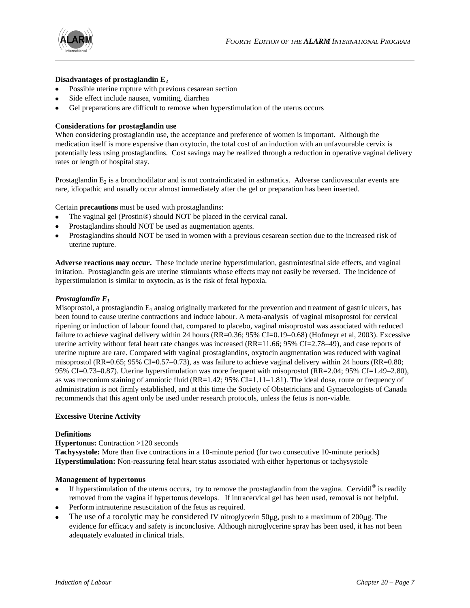

## **Disadvantages of prostaglandin E<sup>2</sup>**

- Possible uterine rupture with previous cesarean section
- Side effect include nausea, vomiting, diarrhea
- Gel preparations are difficult to remove when hyperstimulation of the uterus occurs

## **Considerations for prostaglandin use**

When considering prostaglandin use, the acceptance and preference of women is important. Although the medication itself is more expensive than oxytocin, the total cost of an induction with an unfavourable cervix is potentially less using prostaglandins. Cost savings may be realized through a reduction in operative vaginal delivery rates or length of hospital stay.

Prostaglandin  $E_2$  is a bronchodilator and is not contraindicated in asthmatics. Adverse cardiovascular events are rare, idiopathic and usually occur almost immediately after the gel or preparation has been inserted.

Certain **precautions** must be used with prostaglandins:

- The vaginal gel (Prostin®) should NOT be placed in the cervical canal.
- Prostaglandins should NOT be used as augmentation agents.
- Prostaglandins should NOT be used in women with a previous cesarean section due to the increased risk of uterine rupture.

**Adverse reactions may occur.** These include uterine hyperstimulation, gastrointestinal side effects, and vaginal irritation. Prostaglandin gels are uterine stimulants whose effects may not easily be reversed. The incidence of hyperstimulation is similar to oxytocin, as is the risk of fetal hypoxia.

#### *Prostaglandin E<sup>1</sup>*

Misoprostol, a prostaglandin  $E_1$  analog originally marketed for the prevention and treatment of gastric ulcers, has been found to cause uterine contractions and induce labour. A meta-analysis of vaginal misoprostol for cervical ripening or induction of labour found that, compared to placebo, vaginal misoprostol was associated with reduced failure to achieve vaginal delivery within 24 hours (RR=0.36; 95% CI=0.19–0.68) (Hofmeyr et al, 2003). Excessive uterine activity without fetal heart rate changes was increased (RR=11.66; 95% CI=2.78–49), and case reports of uterine rupture are rare. Compared with vaginal prostaglandins, oxytocin augmentation was reduced with vaginal misoprostol (RR=0.65; 95% CI=0.57–0.73), as was failure to achieve vaginal delivery within 24 hours (RR=0.80; 95% CI=0.73–0.87). Uterine hyperstimulation was more frequent with misoprostol (RR=2.04; 95% CI=1.49–2.80), as was meconium staining of amniotic fluid (RR=1.42; 95% CI=1.11–1.81). The ideal dose, route or frequency of administration is not firmly established, and at this time the Society of Obstetricians and Gynaecologists of Canada recommends that this agent only be used under research protocols, unless the fetus is non-viable.

#### **Excessive Uterine Activity**

#### **Definitions**

## **Hypertonus:** Contraction >120 seconds

**Tachysystole:** More than five contractions in a 10-minute period (for two consecutive 10-minute periods) **Hyperstimulation:** Non-reassuring fetal heart status associated with either hypertonus or tachysystole

#### **Management of hypertonus**

- If hyperstimulation of the uterus occurs, try to remove the prostaglandin from the vagina. Cervidil<sup>®</sup> is readily removed from the vagina if hypertonus develops. If intracervical gel has been used, removal is not helpful.
- Perform intrauterine resuscitation of the fetus as required.
- The use of a tocolytic may be considered IV nitroglycerin 50 ug, push to a maximum of 200 ug. The evidence for efficacy and safety is inconclusive. Although nitroglycerine spray has been used, it has not been adequately evaluated in clinical trials.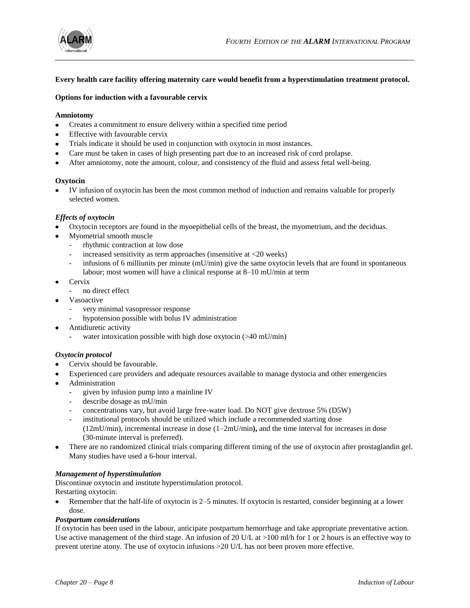

## **Every health care facility offering maternity care would benefit from a hyperstimulation treatment protocol.**

## **Options for induction with a favourable cervix**

## **Amniotomy**

- Creates a commitment to ensure delivery within a specified time period  $\bullet$
- Effective with favourable cervix
- Trials indicate it should be used in conjunction with oxytocin in most instances.
- Care must be taken in cases of high presenting part due to an increased risk of cord prolapse.
- After amniotomy, note the amount, colour, and consistency of the fluid and assess fetal well-being.

#### **Oxytocin**

IV infusion of oxytocin has been the most common method of induction and remains valuable for properly selected women.

## *Effects of oxytocin*

- Oxytocin receptors are found in the myoepithelial cells of the breast, the myometrium, and the deciduas.
- Myometrial smooth muscle
	- rhythmic contraction at low dose
	- increased sensitivity as term approaches (insensitive at  $\langle 20 \text{ weeks} \rangle$ )
	- infusions of 6 milliunits per minute  $(mU/min)$  give the same oxytocin levels that are found in spontaneous labour; most women will have a clinical response at 8–10 mU/min at term
- Cervix
	- no direct effect
- Vasoactive
	- very minimal vasopressor response
	- hypotension possible with bolus IV administration
- Antidiuretic activity
	- water intoxication possible with high dose oxytocin  $($ >40 mU/min)

#### *Oxytocin protocol*

- Cervix should be favourable.
- Experienced care providers and adequate resources available to manage dystocia and other emergencies
- Administration
	- given by infusion pump into a mainline IV
	- describe dosage as mU/min
	- concentrations vary, but avoid large free-water load. Do NOT give dextrose 5% (D5W)
	- institutional protocols should be utilized which include a recommended starting dose (12mU/min), incremental increase in dose (1–2mU/min**),** and the time interval for increases in dose (30-minute interval is preferred).
- There are no randomized clinical trials comparing different timing of the use of oxytocin after prostaglandin gel. Many studies have used a 6-hour interval.

## *Management of hyperstimulation*

Discontinue oxytocin and institute hyperstimulation protocol.

Restarting oxytocin:

Remember that the half-life of oxytocin is 2–5 minutes. If oxytocin is restarted, consider beginning at a lower dose.

#### *Postpartum considerations*

If oxytocin has been used in the labour, anticipate postpartum hemorrhage and take appropriate preventative action. Use active management of the third stage. An infusion of 20 U/L at >100 ml/h for 1 or 2 hours is an effective way to prevent uterine atony. The use of oxytocin infusions >20 U/L has not been proven more effective.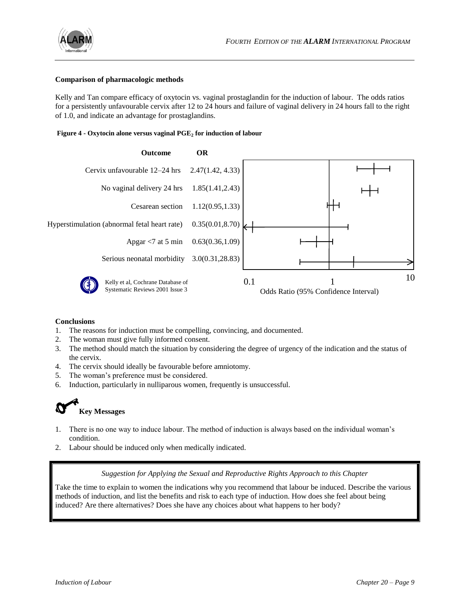

## **Comparison of pharmacologic methods**

Kelly and Tan compare efficacy of oxytocin vs. vaginal prostaglandin for the induction of labour. The odds ratios for a persistently unfavourable cervix after 12 to 24 hours and failure of vaginal delivery in 24 hours fall to the right of 1.0, and indicate an advantage for prostaglandins.

## **Figure 4 - Oxytocin alone versus vaginal PGE<sup>2</sup> for induction of labour**



#### **Conclusions**

- 1. The reasons for induction must be compelling, convincing, and documented.
- 2. The woman must give fully informed consent.
- 3. The method should match the situation by considering the degree of urgency of the indication and the status of the cervix.
- 4. The cervix should ideally be favourable before amniotomy.
- 5. The woman's preference must be considered.
- 6. Induction, particularly in nulliparous women, frequently is unsuccessful.



# **Key Messages**

- 1. There is no one way to induce labour. The method of induction is always based on the individual woman's condition.
- 2. Labour should be induced only when medically indicated.

## *Suggestion for Applying the Sexual and Reproductive Rights Approach to this Chapter*

Take the time to explain to women the indications why you recommend that labour be induced. Describe the various methods of induction, and list the benefits and risk to each type of induction. How does she feel about being induced? Are there alternatives? Does she have any choices about what happens to her body?